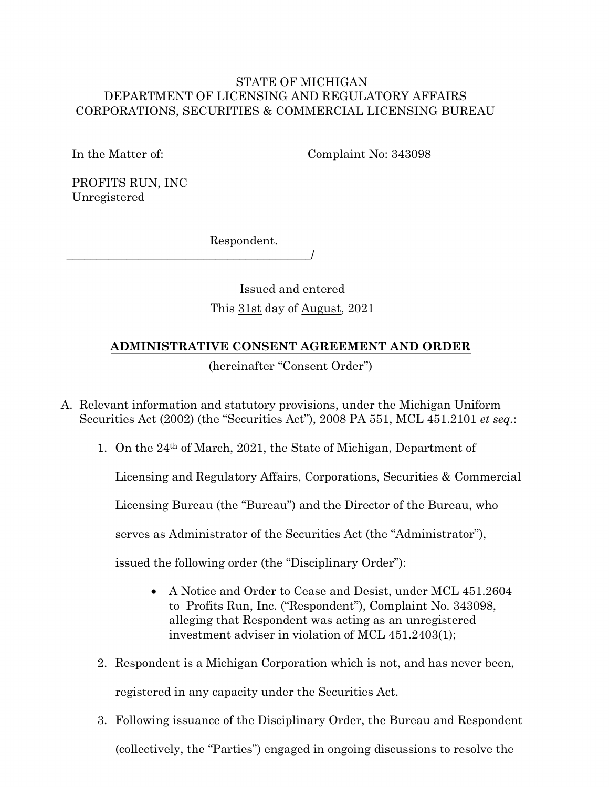## STATE OF MICHIGAN DEPARTMENT OF LICENSING AND REGULATORY AFFAIRS CORPORATIONS, SECURITIES & COMMERCIAL LICENSING BUREAU

In the Matter of:

Complaint No: 343098

PROFITS RUN, INC Unregistered

Respondent.

\_\_\_\_\_\_\_\_\_\_\_\_\_\_\_\_\_\_\_\_\_\_\_\_\_\_\_\_\_\_\_\_\_\_\_\_\_\_\_\_\_/

Issued and entered This 31st day of August, 2021

# **ADMINISTRATIVE CONSENT AGREEMENT AND ORDER**

(hereinafter "Consent Order")

A. Relevant information and statutory provisions, under the Michigan Uniform Securities Act (2002) (the "Securities Act"), 2008 PA 551, MCL 451.2101 *et seq.*:

1. On the 24th of March, 2021, the State of Michigan, Department of

Licensing and Regulatory Affairs, Corporations, Securities & Commercial

Licensing Bureau (the "Bureau") and the Director of the Bureau, who

serves as Administrator of the Securities Act (the "Administrator"),

issued the following order (the "Disciplinary Order"):

- A Notice and Order to Cease and Desist, under MCL 451.2604 to Profits Run, Inc. ("Respondent"), Complaint No. 343098, alleging that Respondent was acting as an unregistered investment adviser in violation of MCL 451.2403(1);
- 2. Respondent is a Michigan Corporation which is not, and has never been, registered in any capacity under the Securities Act.
- 3. Following issuance of the Disciplinary Order, the Bureau and Respondent (collectively, the "Parties") engaged in ongoing discussions to resolve the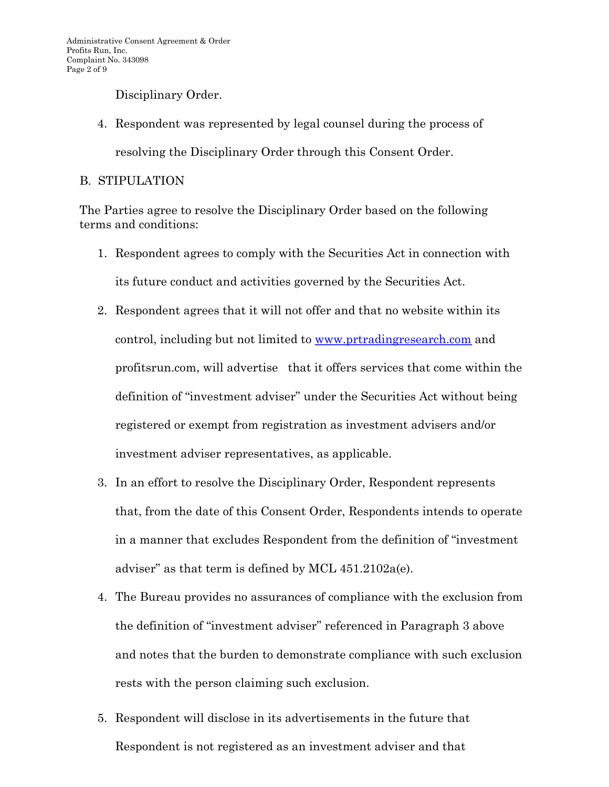Disciplinary Order.

4. Respondent was represented by legal counsel during the process of

resolving the Disciplinary Order through this Consent Order.

# B. STIPULATION

The Parties agree to resolve the Disciplinary Order based on the following terms and conditions:

- 1. Respondent agrees to comply with the Securities Act in connection with its future conduct and activities governed by the Securities Act.
- 2. Respondent agrees that it will not offer and that no website within its control, including but not limited to [www.prtradingresea](http://www.prtradingresearch.com/)rch.com and profitsrun.com, will advertise that it offers services that come within the definition of "investment adviser" under the Securities Act without being registered or exempt from registration as investment advisers and/or investment adviser representatives, as applicable.
- 3. In an effort to resolve the Disciplinary Order, Respondent represents that, from the date of this Consent Order, Respondents intends to operate in a manner that excludes Respondent from the definition of "investment adviser" as that term is defined by MCL 451.2102a(e).
- 4. The Bureau provides no assurances of compliance with the exclusion from the definition of "investment adviser" referenced in Paragraph 3 above and notes that the burden to demonstrate compliance with such exclusion rests with the person claiming such exclusion.
- 5. Respondent will disclose in its advertisements in the future that Respondent is not registered as an investment adviser and that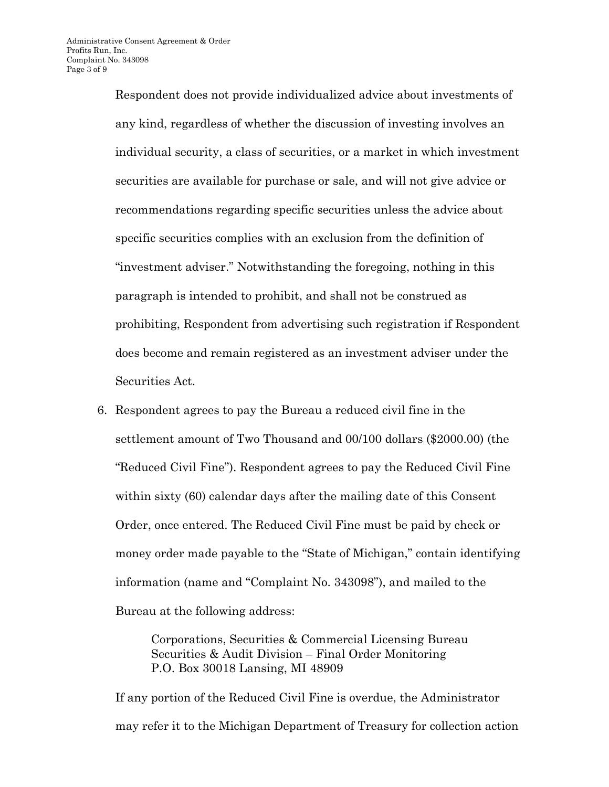Respondent does not provide individualized advice about investments of any kind, regardless of whether the discussion of investing involves an individual security, a class of securities, or a market in which investment securities are available for purchase or sale, and will not give advice or recommendations regarding specific securities unless the advice about specific securities complies with an exclusion from the definition of "investment adviser." Notwithstanding the foregoing, nothing in this paragraph is intended to prohibit, and shall not be construed as prohibiting, Respondent from advertising such registration if Respondent does become and remain registered as an investment adviser under the Securities Act.

6. Respondent agrees to pay the Bureau a reduced civil fine in the settlement amount of Two Thousand and 00/100 dollars (\$2000.00) (the "Reduced Civil Fine"). Respondent agrees to pay the Reduced Civil Fine within sixty (60) calendar days after the mailing date of this Consent Order, once entered. The Reduced Civil Fine must be paid by check or money order made payable to the "State of Michigan," contain identifying information (name and "Complaint No. 343098"), and mailed to the Bureau at the following address:

> Corporations, Securities & Commercial Licensing Bureau Securities & Audit Division – Final Order Monitoring P.O. Box 30018 Lansing, MI 48909

If any portion of the Reduced Civil Fine is overdue, the Administrator may refer it to the Michigan Department of Treasury for collection action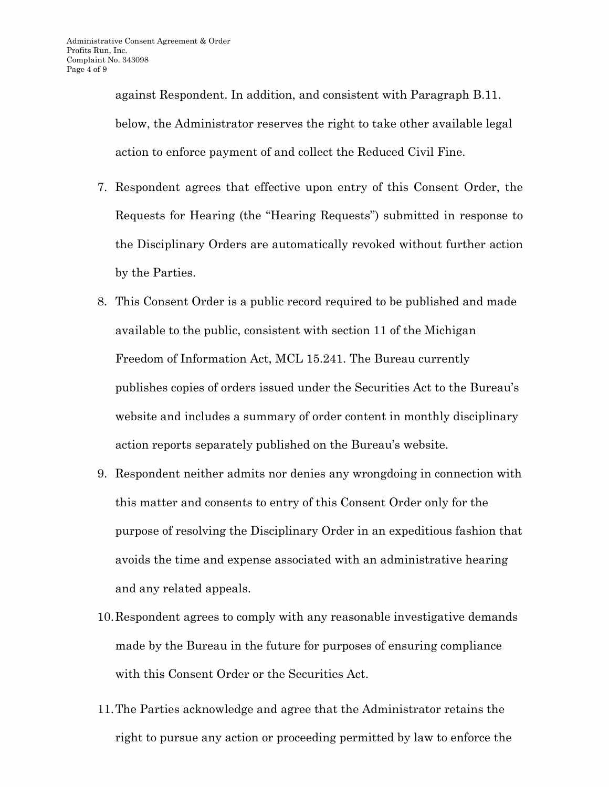against Respondent. In addition, and consistent with Paragraph B.11. below, the Administrator reserves the right to take other available legal action to enforce payment of and collect the Reduced Civil Fine.

- 7. Respondent agrees that effective upon entry of this Consent Order, the Requests for Hearing (the "Hearing Requests") submitted in response to the Disciplinary Orders are automatically revoked without further action by the Parties.
- 8. This Consent Order is a public record required to be published and made available to the public, consistent with section 11 of the Michigan Freedom of Information Act, MCL 15.241. The Bureau currently publishes copies of orders issued under the Securities Act to the Bureau's website and includes a summary of order content in monthly disciplinary action reports separately published on the Bureau's website.
- 9. Respondent neither admits nor denies any wrongdoing in connection with this matter and consents to entry of this Consent Order only for the purpose of resolving the Disciplinary Order in an expeditious fashion that avoids the time and expense associated with an administrative hearing and any related appeals.
- 10.Respondent agrees to comply with any reasonable investigative demands made by the Bureau in the future for purposes of ensuring compliance with this Consent Order or the Securities Act.
- 11.The Parties acknowledge and agree that the Administrator retains the right to pursue any action or proceeding permitted by law to enforce the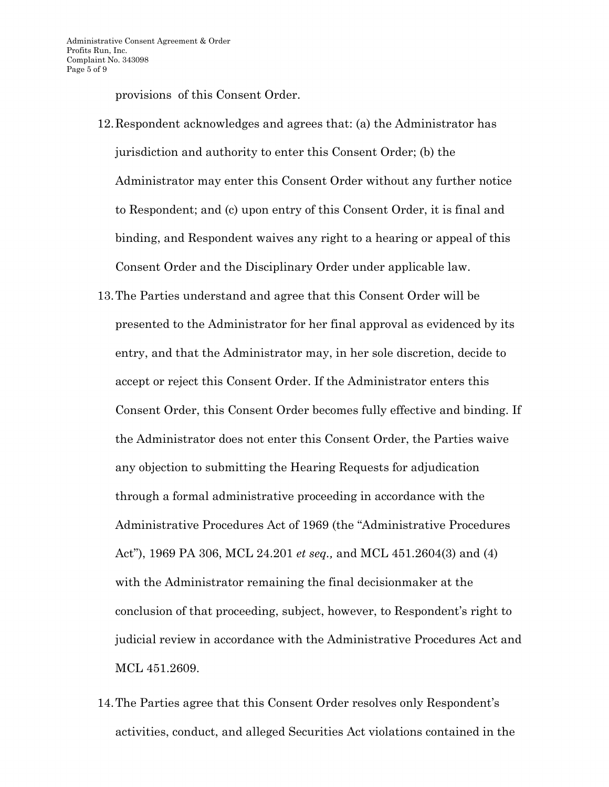provisions of this Consent Order.

- 12.Respondent acknowledges and agrees that: (a) the Administrator has jurisdiction and authority to enter this Consent Order; (b) the Administrator may enter this Consent Order without any further notice to Respondent; and (c) upon entry of this Consent Order, it is final and binding, and Respondent waives any right to a hearing or appeal of this Consent Order and the Disciplinary Order under applicable law.
- 13.The Parties understand and agree that this Consent Order will be presented to the Administrator for her final approval as evidenced by its entry, and that the Administrator may, in her sole discretion, decide to accept or reject this Consent Order. If the Administrator enters this Consent Order, this Consent Order becomes fully effective and binding. If the Administrator does not enter this Consent Order, the Parties waive any objection to submitting the Hearing Requests for adjudication through a formal administrative proceeding in accordance with the Administrative Procedures Act of 1969 (the "Administrative Procedures Act"), 1969 PA 306, MCL 24.201 *et seq.,* and MCL 451.2604(3) and (4) with the Administrator remaining the final decisionmaker at the conclusion of that proceeding, subject, however, to Respondent's right to judicial review in accordance with the Administrative Procedures Act and MCL 451.2609.
- 14.The Parties agree that this Consent Order resolves only Respondent's activities, conduct, and alleged Securities Act violations contained in the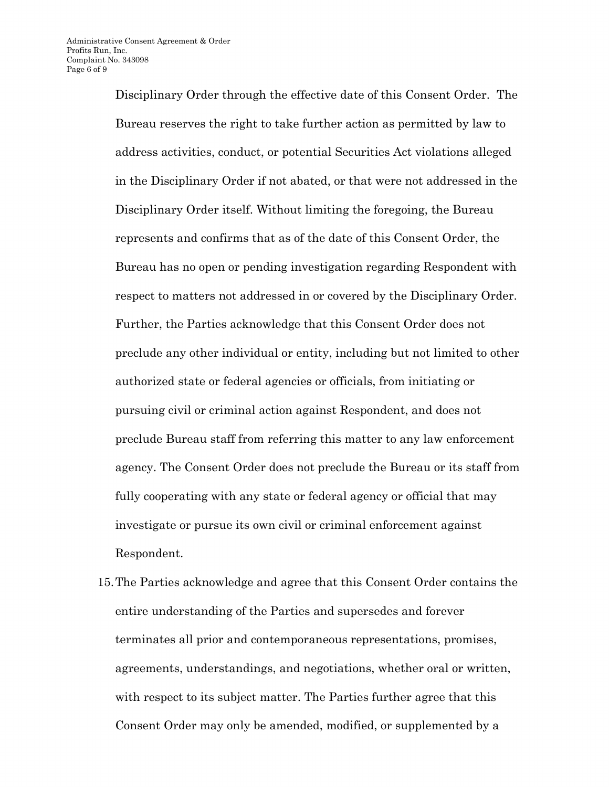Disciplinary Order through the effective date of this Consent Order. The Bureau reserves the right to take further action as permitted by law to address activities, conduct, or potential Securities Act violations alleged in the Disciplinary Order if not abated, or that were not addressed in the Disciplinary Order itself. Without limiting the foregoing, the Bureau represents and confirms that as of the date of this Consent Order, the Bureau has no open or pending investigation regarding Respondent with respect to matters not addressed in or covered by the Disciplinary Order. Further, the Parties acknowledge that this Consent Order does not preclude any other individual or entity, including but not limited to other authorized state or federal agencies or officials, from initiating or pursuing civil or criminal action against Respondent, and does not preclude Bureau staff from referring this matter to any law enforcement agency. The Consent Order does not preclude the Bureau or its staff from fully cooperating with any state or federal agency or official that may investigate or pursue its own civil or criminal enforcement against Respondent.

15.The Parties acknowledge and agree that this Consent Order contains the entire understanding of the Parties and supersedes and forever terminates all prior and contemporaneous representations, promises, agreements, understandings, and negotiations, whether oral or written, with respect to its subject matter. The Parties further agree that this Consent Order may only be amended, modified, or supplemented by a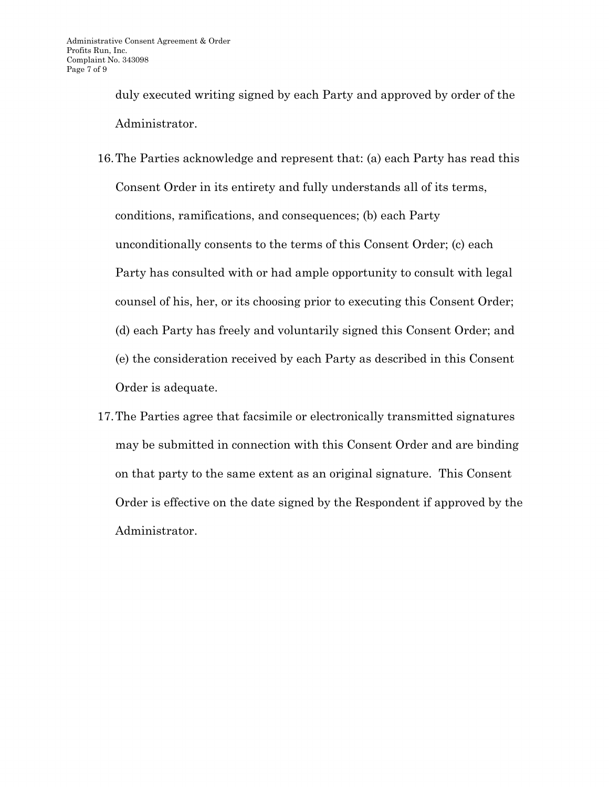duly executed writing signed by each Party and approved by order of the Administrator.

- 16.The Parties acknowledge and represent that: (a) each Party has read this Consent Order in its entirety and fully understands all of its terms, conditions, ramifications, and consequences; (b) each Party unconditionally consents to the terms of this Consent Order; (c) each Party has consulted with or had ample opportunity to consult with legal counsel of his, her, or its choosing prior to executing this Consent Order; (d) each Party has freely and voluntarily signed this Consent Order; and (e) the consideration received by each Party as described in this Consent Order is adequate.
- 17.The Parties agree that facsimile or electronically transmitted signatures may be submitted in connection with this Consent Order and are binding on that party to the same extent as an original signature. This Consent Order is effective on the date signed by the Respondent if approved by the Administrator.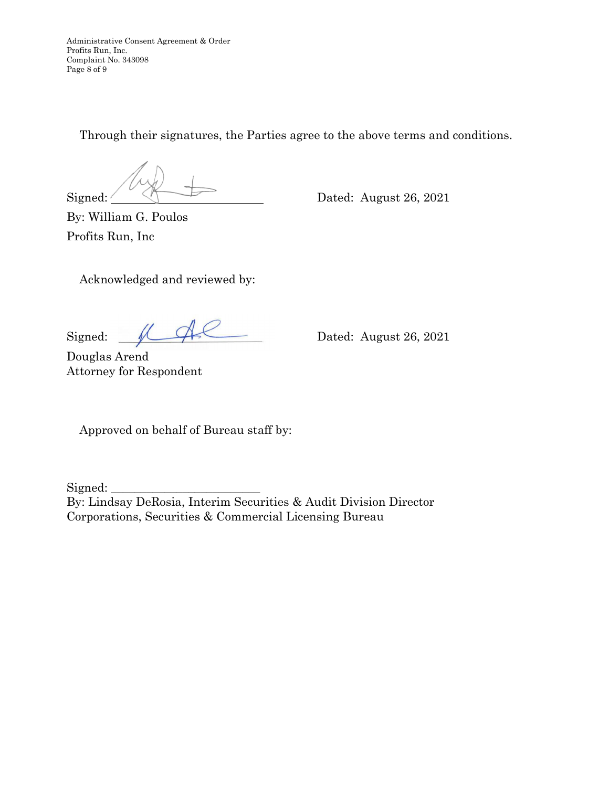Administrative Consent Agreement & Order Profits Run, Inc. Complaint No. 343098 Page 8 of 9

Through their signatures, the Parties agree to the above terms and conditions.

 $Signal: \frown$  Dated: August 26, 2021

By: William G. Poulos Profits Run, Inc

Acknowledged and reviewed by:

Signed:  $\sqrt{2}$  Dated: August 26, 2021

Douglas Arend Attorney for Respondent

Approved on behalf of Bureau staff by:

Signed:

By: Lindsay DeRosia, Interim Securities & Audit Division Director Corporations, Securities & Commercial Licensing Bureau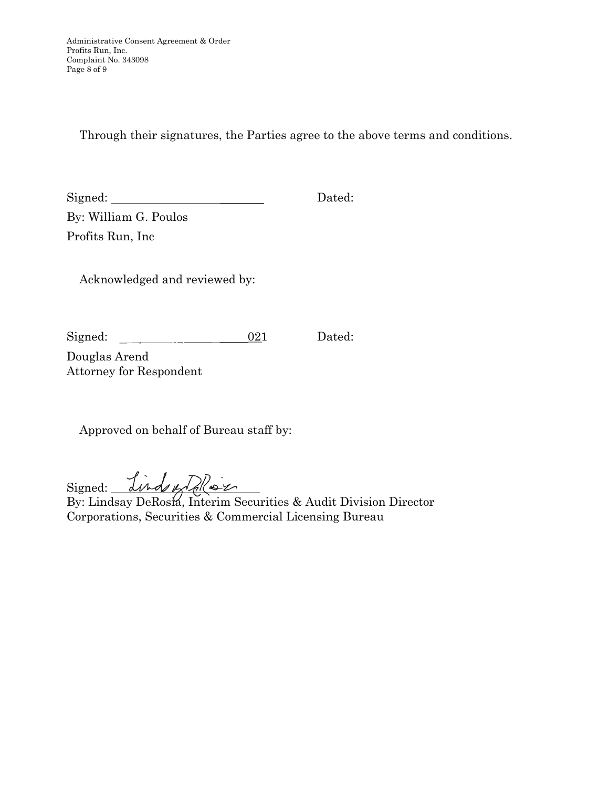Through their signatures, the Parties agree to the above terms and conditions.

Signed: Dated:

By: William G. Poulos Profits Run, Inc

Acknowledged and reviewed by:

Signed:  $\underline{\hspace{1cm}} 021$  Dated:

Douglas Arend Attorney for Respondent

Approved on behalf of Bureau staff by:

Signed: *Linds of Polles 2* 

By: Lindsay DeRosia, Interim Securities & Audit Division Director Corporations, Securities & Commercial Licensing Bureau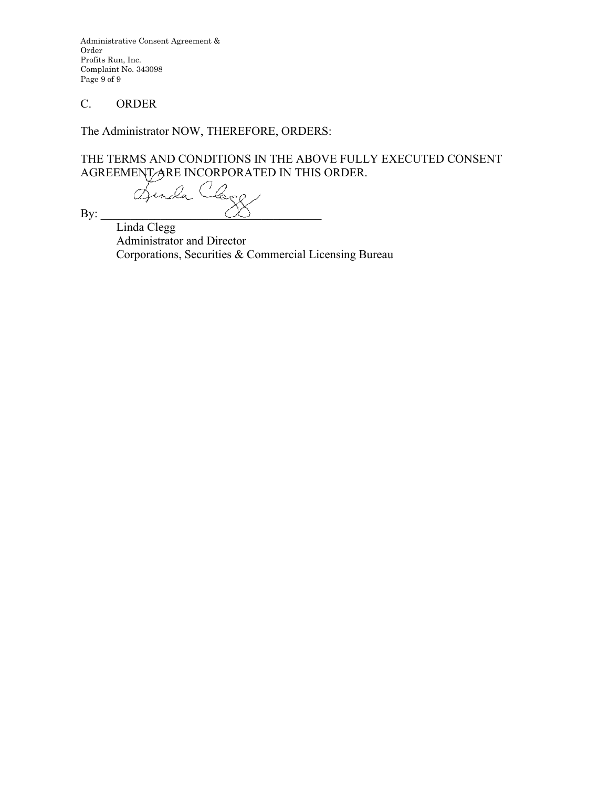Administrative Consent Agreement & Order Profits Run, Inc. Complaint No. 343098 Page 9 of 9

## C. ORDER

The Administrator NOW, THEREFORE, ORDERS:

THE TERMS AND CONDITIONS IN THE ABOVE FULLY EXECUTED CONSENT AGREEMENT ARE INCORPORATED IN THIS ORDER.

 $By:$ 

Linda Clegg Administrator and Director Athen Corporations, Securities & Commercial Licensing Bureau r spectrum Corporations, Securities & Commercial Licensing Bureau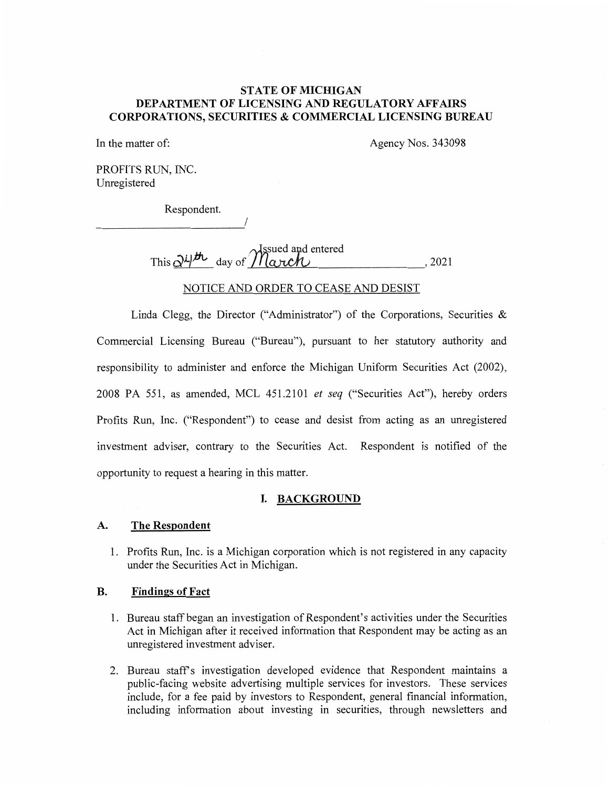### **STATE OF MICHIGAN DEPARTMENT OF LICENSING AND REGULATORY AFFAIRS CORPORATIONS, SECURITIES & COMMERCIAL LICENSING BUREAU**

In the matter of: Agency Nos. 343098

PROFITS RUN, INC. Unregistered

Respondent.

I

 $\sim$ Assued and entered This  $\frac{\partial^{\mu} \nu}{\partial \alpha}$  day of  $\frac{\partial^{\mu} \nu}{\partial \alpha}$  day of  $\frac{\partial^{\mu} \nu}{\partial \alpha}$ , 2021

### NOTICE AND ORDER TO CEASE AND DESIST

Linda Clegg, the Director ("Administrator") of the Corporations, Securities  $\&$ Commercial Licensing Bureau ("Bureau"), pursuant to her statutory authority and responsibility to administer and enforce the Michigan Uniform Securities Act (2002), 2008 PA 551, as amended, MCL 451.2101 *et seq* ("Securities Act"), hereby orders Profits Run, Inc. ("Respondent") to cease and desist from acting as an unregistered investment adviser, contrary to the Securities Act. Respondent is notified of the opportunity to request a hearing in this matter.

### **I. BACKGROUND**

#### **A. The Respondent**

1. Profits Run, Inc. is a Michigan corporation which is not registered in any capacity under the Securities Act in Michigan.

#### **B. Findings of Fact**

- 1. Bureau staff began an investigation of Respondent's activities under the Securities Act in Michigan after it received information that Respondent may be acting as an unregistered investment adviser.
- 2. Bureau staff's investigation developed evidence that Respondent maintains a public-facing website advertising multiple services for investors. These services include, for a fee paid by investors to Respondent, general financial information, including information about investing in securities, through newsletters and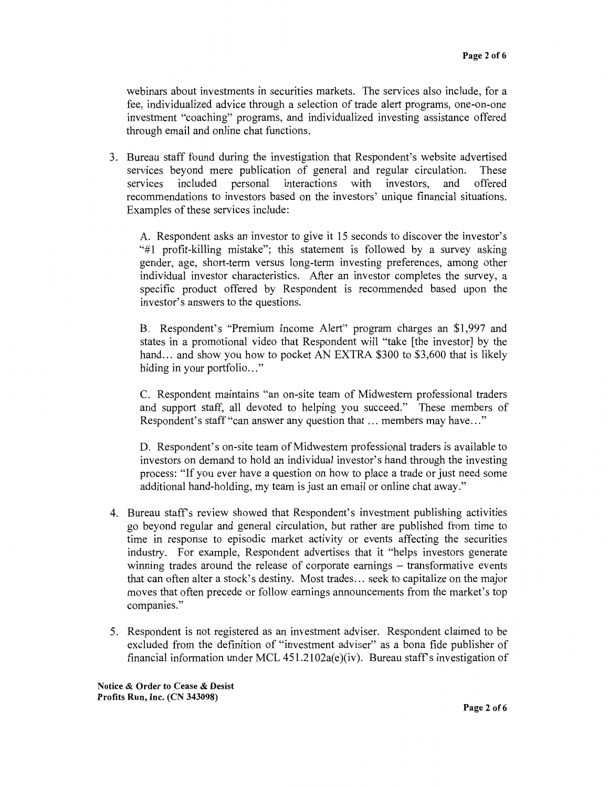webinars about investments in securities markets. The services also include, for a fee, individualized advice through a selection of trade alert programs, one-on-one investment "coaching" programs, and individualized investing assistance offered through email and online chat functions.

3. Bureau staff found during the investigation that Respondent's website advertised services beyond mere publication of general and regular circulation. These services included personal interactions with investors, and offered recommendations to investors based on the investors' unique financial situations. Examples of these services include:

A. Respondent asks an investor to give it 15 seconds to discover the investor's "#1 profit-killing mistake"; this statement is followed by a survey asking gender, age, short-term versus long-term investing preferences, among other individual investor characteristics. After an investor completes the survey, a specific product offered by Respondent is recommended based upon the investor's answers to the questions.

B. Respondent's "Premium Income Alert" program charges an \$1,997 and states in a promotional video that Respondent will "take [the investor] by the hand... and show you how to pocket AN EXTRA \$300 to \$3,600 that is likely hiding in your portfolio..."

C. Respondent maintains "an on-site team of Midwestern professional traders and support staff, all devoted to helping you succeed." These members of Respondent's staff "can answer any question that ... members may have..."

D. Respondent's on-site team of Midwestern professional traders is available to investors on demand to hold an individual investor's hand through the investing process: "If you ever have a question on how to place a trade or just need some additional hand-holding, my team is just an email or online chat away."

- 4. Bureau staffs review showed that Respondent's investment publishing activities go beyond regular and general circulation, but rather are published from time to time in response to episodic market activity or events affecting the securities industry. For example, Respondent advertises that it "helps investors generate winning trades around the release of corporate earnings – transformative events that can often alter a stock's destiny. Most trades ... seek to capitalize on the major moves that often precede or follow earnings announcements from the market's top companies."
- 5. Respondent is not registered as an investment adviser. Respondent claimed to be excluded from the definition of "investment adviser" as a bona fide publisher of financial information under MCL  $451.2102a(e)(iv)$ . Bureau staff's investigation of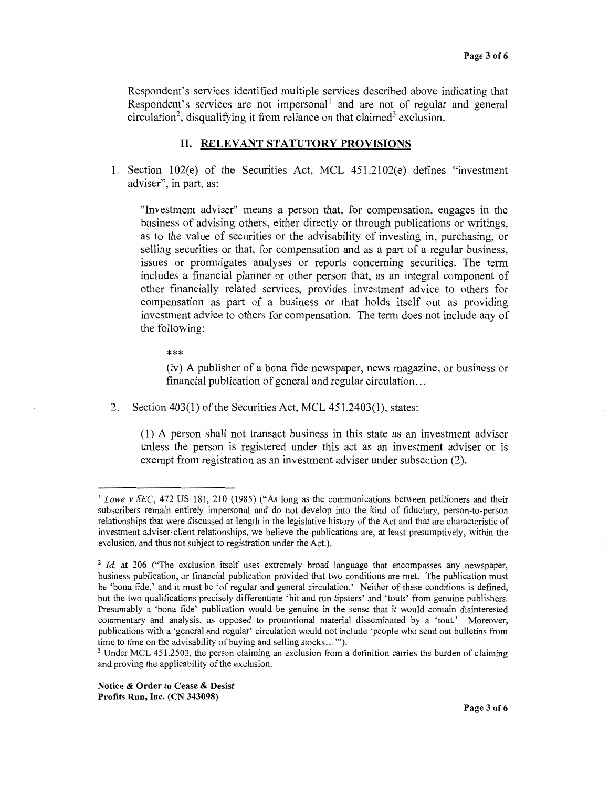Respondent's services identified multiple services described above indicating that Respondent's services are not impersonal and are not of regular and general circulation<sup>2</sup>, disqualifying it from reliance on that claimed<sup>3</sup> exclusion.

### **IL RELEVANT STATUTORY PROVISIONS**

1. Section  $102(e)$  of the Securities Act, MCL  $451.2102(e)$  defines "investment" adviser", in part, as:

"Investment adviser" means a person that, for compensation, engages in the business of advising others, either directly or through publications or writings, as to the value of securities or the advisability of investing in, purchasing, or selling securities or that, for compensation and as a part of a regular business, issues or promulgates analyses or reports concerning securities. The term includes a financial planner or other person that, as an integral component of other financially related services, provides investment advice to others for compensation as part of a business or that holds itself out as providing investment advice to others for compensation. The term does not include any of the following:

\*\*\*

(iv) A publisher of a bona fide newspaper, news magazine, or business or financial publication of general and regular circulation ...

2. Section 403(1) of the Securities Act, MCL 451.2403(1), states:

(1) A person shall not transact business in this state as an investment adviser unless the person is registered under this act as an investment adviser or 1s exempt from registration as an investment adviser under subsection (2).

<sup>&</sup>lt;sup>1</sup> Lowe v SEC, 472 US 181, 210 (1985) ("As long as the communications between petitioners and their subscribers remain entirely impersonal and do not develop into the kind of fiduciary, person-to-person relationships that were discussed at length in the legislative history of the Act and that are characteristic of investment adviser-client relationships, we believe the publications are, at least presumptively, within the exclusion, and thus not subject to registration under the Act.).

<sup>&</sup>lt;sup>2</sup> *Id.* at 206 ("The exclusion itself uses extremely broad language that encompasses any newspaper, business publication, or financial publication provided that two conditions are met. The publication must be 'bona fide,' and it must be 'of regular and general circulation.' Neither of these conditions is defined, but the two qualifications precisely differentiate 'hit and run tipsters' and 'touts' from genuine publishers. Presumably a 'bona fide' publication would be genuine in the sense that it would contain disinterested commentary and analysis, as opposed to promotional material disseminated by a 'tout.' Moreover, publications with a 'general and regular' circulation would not include 'people who send out bulletins from time to time on the advisability of buying and selling stocks ... "').

<sup>&</sup>lt;sup>3</sup> Under MCL 451.2503, the person claiming an exclusion from a definition carries the burden of claiming and proving the applicability of the exclusion.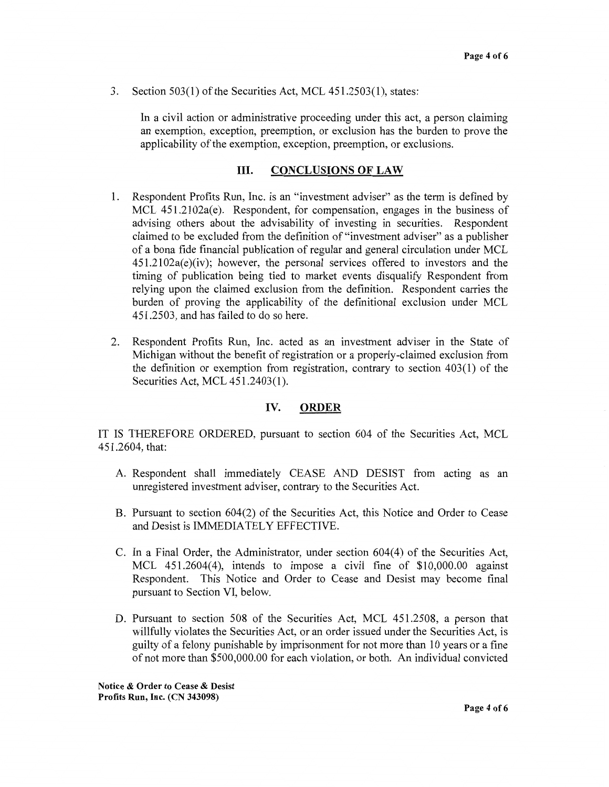3. Section 503(1) of the Securities Act, MCL 451.2503(1), states:

In a civil action or administrative proceeding under this act, a person claiming an exemption, exception, preemption, or exclusion has the burden to prove the applicability of the exemption, exception, preemption, or exclusions.

### III. **CONCLUSIONS OF LAW**

- 1. Respondent Profits Run, Inc. is an "investment adviser" as the term is defined by MCL 451.2102a(e). Respondent, for compensation, engages in the business of advising others about the advisability of investing in securities. Respondent claimed to be excluded from the definition of "investment adviser" as a publisher of a bona fide financial publication of regular and general circulation under MCL 451.2102a(e)(iv); however, the personal services offered to investors and the timing of publication being tied to market events disqualify Respondent from relying upon the claimed exclusion from the definition. Respondent carries the burden of proving the applicability of the definitional exclusion under MCL 451.2503, and has failed to do so here.
- 2. Respondent Profits Run, Inc. acted as an investment adviser in the State of Michigan without the benefit of registration or a properly-claimed exclusion from the definition or exemption from registration, contrary to section 403(1) of the Securities Act, MCL 451.2403(1).

### **IV. ORDER**

IT IS THEREFORE ORDERED, pursuant to section 604 of the Securities Act, MCL 451.2604, that:

- A. Respondent shall immediately CEASE AND DESIST from acting as an unregistered investment adviser, contrary to the Securities Act.
- B. Pursuant to section 604(2) of the Securities Act, this Notice and Order to Cease and Desist is IMMEDIATELY EFFECTIVE.
- C. In a Final Order, the Administrator, under section 604(4) of the Securities Act, MCL 451.2604(4), intends to impose a civil fine of \$10,000.00 against Respondent. This Notice and Order to Cease and Desist may become final pursuant to Section VI, below.
- D. Pursuant to section 508 of the Securities Act, MCL 451.2508, a person that willfully violates the Securities Act, or an order issued under the Securities Act, is guilty of a felony punishable by imprisonment for not more than 10 years or a fine of not more than \$500,000.00 for each violation, or both. An individual convicted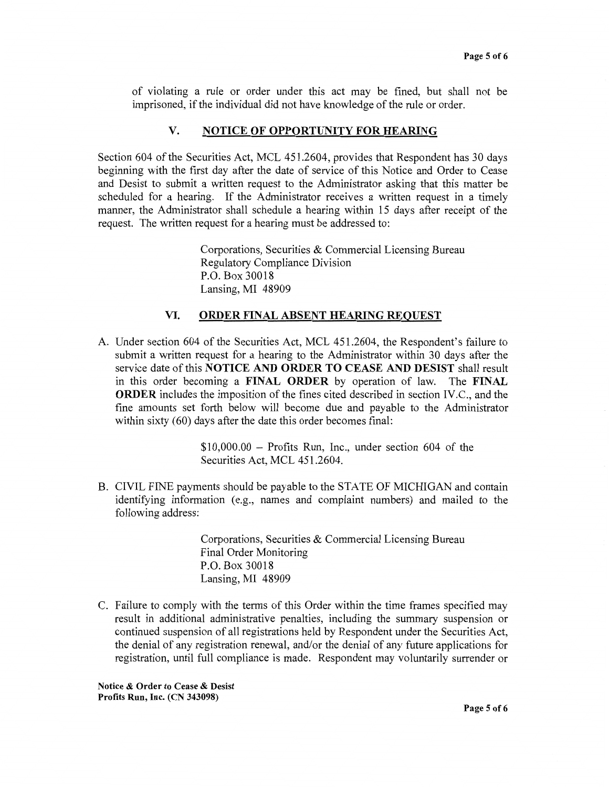of violating a rule or order under this act may be fined, but shall not be imprisoned, if the individual did not have knowledge of the rule or order.

### **V. NOTICE OF OPPORTUNITY FOR HEARING**

Section 604 of the Securities Act, MCL 451.2604, provides that Respondent has 30 days beginning with the first day after the date of service of this Notice and Order to Cease and Desist to submit a written request to the Administrator asking that this matter be scheduled for a hearing. If the Administrator receives a written request in a timely manner, the Administrator shall schedule a hearing within 15 days after receipt of the request. The written request for a hearing must be addressed to:

> Corporations, Securities & Commercial Licensing Bureau Regulatory Compliance Division P.O. Box 30018 Lansing, MI 48909

### **VI. ORDER FINAL ABSENT HEARING REQUEST**

A. Under section 604 of the Securities Act, MCL 451.2604, the Respondent's failure to submit a written request for a hearing to the Administrator within 30 days after the service date of this **NOTICE AND ORDER TO CEASE AND DESIST** shall result in this order becoming a **FINAL ORDER** by operation of law. The **FINAL ORDER** includes the imposition of the fines cited described in section IV.C., and the fine amounts set forth below will become due and payable to the Administrator within sixty (60) days after the date this order becomes final:

> $$10,000.00 -$  Profits Run, Inc., under section 604 of the Securities Act, MCL 451.2604.

B. CIVIL FINE payments should be payable to the STATE OF MICHIGAN and contain identifying information (e.g., names and complaint numbers) and mailed to the following address:

> Corporations, Securities & Commercial Licensing Bureau Final Order Monitoring P.O. Box 30018 Lansing, MI 48909

C. Failure to comply with the terms of this Order within the time frames specified may result in additional administrative penalties, including the summary suspension or continued suspension of all registrations held by Respondent under the Securities Act, the denial of any registration renewal, and/or the denial of any future applications for registration, until full compliance is made. Respondent may voluntarily surrender or